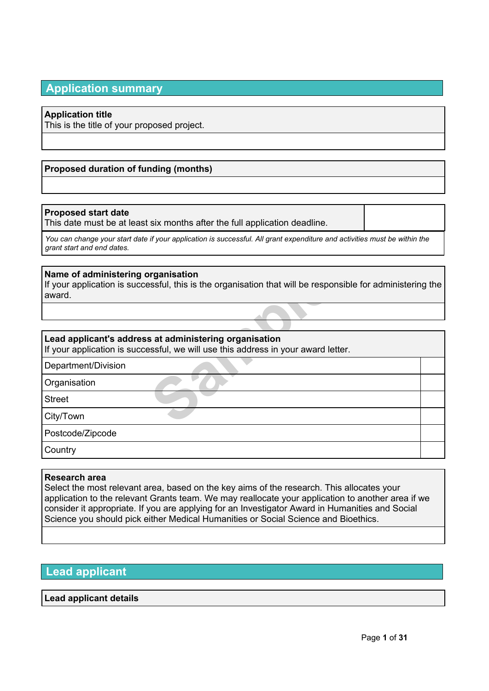# **Application summary**

## **Application title**

This is the title of your proposed project.

## **Proposed duration of funding (months)**

## **Proposed start date**

This date must be at least six months after the full application deadline.

You can change your start date if your application is successful. All grant expenditure and activities must be within the *grant start and end dates.*

### **Name of administering organisation**

**Sample Seconds Asset Assets that will be responsed as at administering organisation sesful, we will use this address in your award letter and the second of the set of the set of the second of the set of the set of the set** If your application is successful, this is the organisation that will be responsible for administering the award.

## **Lead applicant's address at administering organisation**

If your application is successful, we will use this address in your award letter.

Department/Division

**Organisation** 

Street

City/Town

Postcode/Zipcode

**Country** 

### **Research area**

Select the most relevant area, based on the key aims of the research. This allocates your application to the relevant Grants team. We may reallocate your application to another area if we consider it appropriate. If you are applying for an Investigator Award in Humanities and Social Science you should pick either Medical Humanities or Social Science and Bioethics.

# **Lead applicant**

## **Lead applicant details**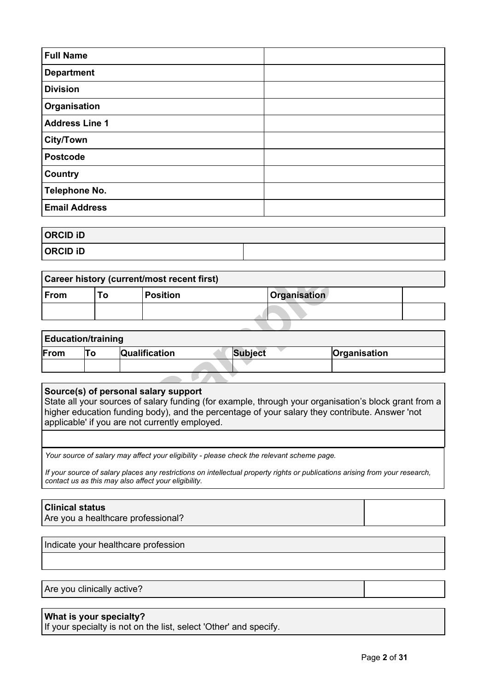| <b>Full Name</b>      |  |
|-----------------------|--|
| <b>Department</b>     |  |
| <b>Division</b>       |  |
| Organisation          |  |
| <b>Address Line 1</b> |  |
| <b>City/Town</b>      |  |
| <b>Postcode</b>       |  |
| Country               |  |
| <b>Telephone No.</b>  |  |
| <b>Email Address</b>  |  |

| <b>ORCID ID</b> |  |
|-----------------|--|
| <b>ORCID iD</b> |  |

|                           |    | Career history (current/most recent first)                                                                                                                                                                                                                                                        |                |                     |              |  |
|---------------------------|----|---------------------------------------------------------------------------------------------------------------------------------------------------------------------------------------------------------------------------------------------------------------------------------------------------|----------------|---------------------|--------------|--|
| <b>From</b>               | To | <b>Position</b>                                                                                                                                                                                                                                                                                   |                | <b>Organisation</b> |              |  |
|                           |    |                                                                                                                                                                                                                                                                                                   |                |                     |              |  |
|                           |    |                                                                                                                                                                                                                                                                                                   |                |                     |              |  |
| <b>Education/training</b> |    |                                                                                                                                                                                                                                                                                                   |                |                     |              |  |
| From                      | To | Qualification                                                                                                                                                                                                                                                                                     | <b>Subject</b> |                     | Organisation |  |
|                           |    |                                                                                                                                                                                                                                                                                                   |                |                     |              |  |
|                           |    |                                                                                                                                                                                                                                                                                                   |                |                     |              |  |
|                           |    | Source(s) of personal salary support<br>State all your sources of salary funding (for example, through your organisation's block grant from a<br>higher education funding body), and the percentage of your salary they contribute. Answer 'not<br>applicable' if you are not currently employed. |                |                     |              |  |

| <b>Education/training</b> |  |                      |         |              |  |  |
|---------------------------|--|----------------------|---------|--------------|--|--|
| From                      |  | <b>Qualification</b> | Subject | Organisation |  |  |
|                           |  |                      |         |              |  |  |

## **Source(s) of personal salary support**

State all your sources of salary funding (for example, through your organisation's block grant from a higher education funding body), and the percentage of your salary they contribute. Answer 'not applicable' if you are not currently employed.

*Your source of salary may affect your eligibility - please check the relevant scheme page.*

If your source of salary places any restrictions on intellectual property rights or publications arising from your research, *contact us as this may also affect your eligibility.*

## **Clinical status**

Are you a healthcare professional?

Indicate your healthcare profession

Are you clinically active?

## **What is your specialty?**

If your specialty is not on the list, select 'Other' and specify.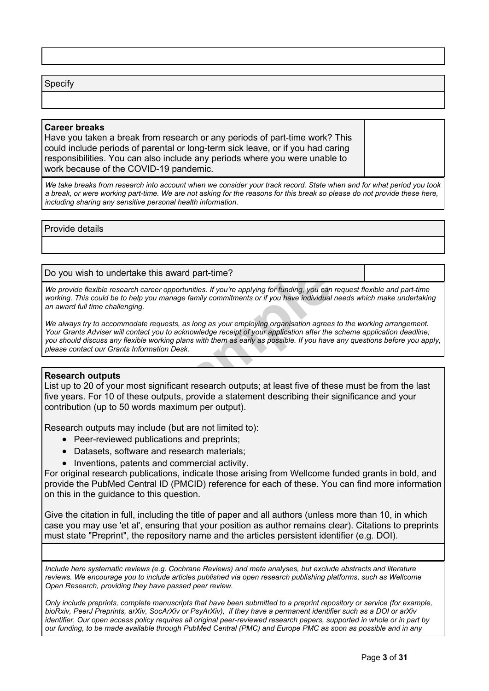#### Specify

#### **Career breaks**

Have you taken a break from research or any periods of part-time work? This could include periods of parental or long-term sick leave, or if you had caring responsibilities. You can also include any periods where you were unable to work because of the COVID-19 pandemic.

We take breaks from research into account when we consider your track record. State when and for what period you took a break, or were working part-time. We are not asking for the reasons for this break so please do not provide these here, *including sharing any sensitive personal health information.*

Provide details

#### Do you wish to undertake this award part-time?

We provide flexible research career opportunities. If you're applying for funding, you can request flexible and part-time working. This could be to help you manage family commitments or if you have individual needs which make undertaking *an award full time challenging.*

this award part-time?<br>
reer opportunities. If you're applying for funding, you can<br>
ou manage family commitments or if you have individual<br>
requests, as long as your employing organisation agrees<br>
t you to acknowledge rece We always try to accommodate requests, as long as your employing organisation agrees to the working arrangement. Your Grants Adviser will contact you to acknowledge receipt of your application after the scheme application deadline; you should discuss any flexible working plans with them as early as possible. If you have any questions before you apply, *please contact our Grants Information Desk.*

## **Research outputs**

List up to 20 of your most significant research outputs; at least five of these must be from the last five years. For 10 of these outputs, provide a statement describing their significance and your contribution (up to 50 words maximum per output).

Research outputs may include (but are not limited to):

- Peer-reviewed publications and preprints;
- Datasets, software and research materials;
- Inventions, patents and commercial activity.

For original research publications, indicate those arising from Wellcome funded grants in bold, and provide the PubMed Central ID (PMCID) reference for each of these. You can find more information on this in the guidance to this question.

Give the citation in full, including the title of paper and all authors (unless more than 10, in which case you may use 'et al', ensuring that your position as author remains clear). Citations to preprints must state "Preprint", the repository name and the articles persistent identifier (e.g. DOI).

*Include here systematic reviews (e.g. Cochrane Reviews) and meta analyses, but exclude abstracts and literature reviews. We encourage you to include articles published via open research publishing platforms, such as Wellcome Open Research, providing they have passed peer review.*

Only include preprints, complete manuscripts that have been submitted to a preprint repository or service (for example, bioRxiv, PeerJ Preprints, arXiv, SocArXiv or PsyArXiv), if they have a permanent identifier such as a DOI or arXiv identifier. Our open access policy requires all original peer-reviewed research papers, supported in whole or in part by our funding, to be made available through PubMed Central (PMC) and Europe PMC as soon as possible and in any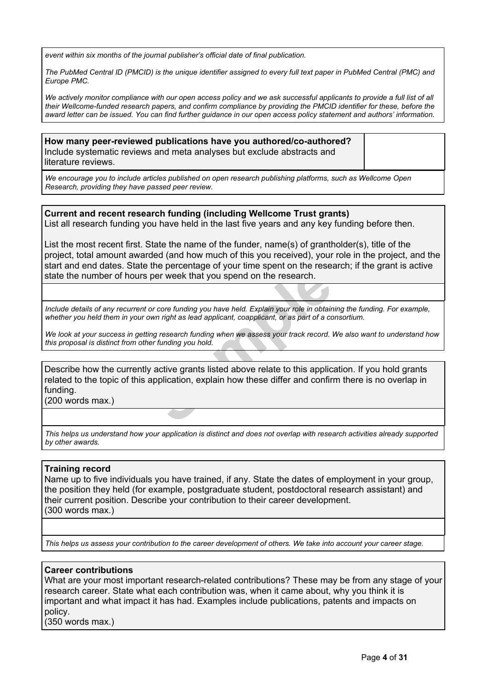*event within six months of the journal publisher's official date of final publication.*

The PubMed Central ID (PMCID) is the unique identifier assigned to every full text paper in PubMed Central (PMC) and *Europe PMC.*

We actively monitor compliance with our open [access](https://wellcome.org/funding/guidance/open-access-policy) policy and we ask successful applicants to provide a full list of all their Wellcome-funded research papers, and confirm compliance by providing the PMCID identifier for these, before the award letter can be issued. You can find further guidance in our open access policy statement and authors' information.

**How many peer-reviewed publications have you authored/co-authored?** Include systematic reviews and meta analyses but exclude abstracts and literature reviews.

*We encourage you to include articles published on open research publishing platforms, such as Wellcome Open Research, providing they have passed peer review.*

**Current and recent research funding (including Wellcome Trust grants)** List all research funding you have held in the last five years and any key funding before then.

List the most recent first. State the name of the funder, name(s) of grantholder(s), title of the project, total amount awarded (and how much of this you received), your role in the project, and the start and end dates. State the percentage of your time spent on the research; if the grant is active state the number of hours per week that you spend on the research.

Include details of any recurrent or core funding you have held. Explain your role in obtaining the funding. For example, whether you held them in your own right as lead applicant, coapplicant, or as part of a consortium.

We look at your success in getting research funding when we assess your track record. We also want to understand how *this proposal is distinct from other funding you hold.*

The vertext that you spend on the research.<br>
For week that you spend on the research.<br>
Samples or core funding you have held. Explain your role in obtain<br>
Samples in the spending when we assess your track record.<br>
Net fund Describe how the currently active grants listed above relate to this application. If you hold grants related to the topic of this application, explain how these differ and confirm there is no overlap in funding.

(200 words max.)

This helps us understand how your application is distinct and does not overlap with research activities already supported *by other awards.*

### **Training record**

Name up to five individuals you have trained, if any. State the dates of employment in your group, the position they held (for example, postgraduate student, postdoctoral research assistant) and their current position. Describe your contribution to their career development. (300 words max.)

This helps us assess your contribution to the career development of others. We take into account your career stage.

### **Career contributions**

What are your most important research-related contributions? These may be from any stage of your research career. State what each contribution was, when it came about, why you think it is important and what impact it has had. Examples include publications, patents and impacts on policy.

(350 words max.)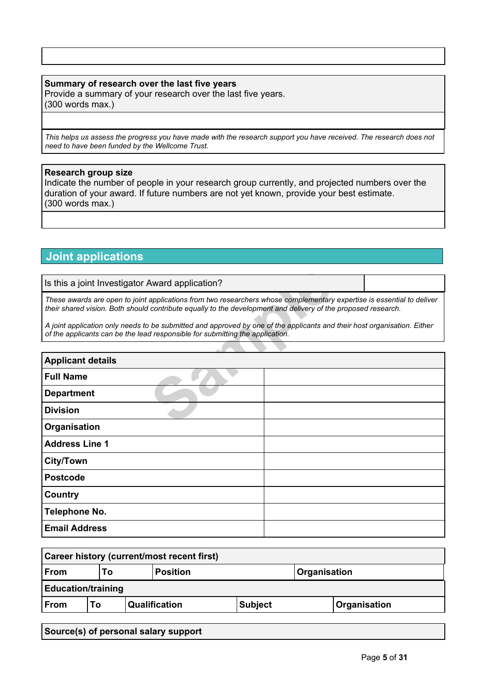## **Summary of research over the last five years**

Provide a summary of your research over the last five years. (300 words max.)

This helps us assess the progress you have made with the research support you have received. The research does not *need to have been funded by the Wellcome Trust.*

## **Research group size**

Indicate the number of people in your research group currently, and projected numbers over the duration of your award. If future numbers are not yet known, provide your best estimate. (300 words max.)

# **Joint applications**

| Is this a joint Investigator Award application?                                                                                                                                                                                         |                                                                                                                                                                                                           |  |  |  |  |
|-----------------------------------------------------------------------------------------------------------------------------------------------------------------------------------------------------------------------------------------|-----------------------------------------------------------------------------------------------------------------------------------------------------------------------------------------------------------|--|--|--|--|
| These awards are open to joint applications from two researchers whose complementary expertise is essential to deliver<br>their shared vision. Both should contribute equally to the development and delivery of the proposed research. |                                                                                                                                                                                                           |  |  |  |  |
|                                                                                                                                                                                                                                         | A joint application only needs to be submitted and approved by one of the applicants and their host organisation. Either<br>of the applicants can be the lead responsible for submitting the application. |  |  |  |  |
|                                                                                                                                                                                                                                         |                                                                                                                                                                                                           |  |  |  |  |
| <b>Applicant details</b>                                                                                                                                                                                                                |                                                                                                                                                                                                           |  |  |  |  |
| <b>Full Name</b>                                                                                                                                                                                                                        |                                                                                                                                                                                                           |  |  |  |  |
| <b>Department</b>                                                                                                                                                                                                                       |                                                                                                                                                                                                           |  |  |  |  |
| <b>Division</b>                                                                                                                                                                                                                         |                                                                                                                                                                                                           |  |  |  |  |
| Organisation                                                                                                                                                                                                                            |                                                                                                                                                                                                           |  |  |  |  |
| <b>Address Line 1</b>                                                                                                                                                                                                                   |                                                                                                                                                                                                           |  |  |  |  |
| City/Town                                                                                                                                                                                                                               |                                                                                                                                                                                                           |  |  |  |  |
| <b>Postcode</b>                                                                                                                                                                                                                         |                                                                                                                                                                                                           |  |  |  |  |
| Country                                                                                                                                                                                                                                 |                                                                                                                                                                                                           |  |  |  |  |
| Telephone No.                                                                                                                                                                                                                           |                                                                                                                                                                                                           |  |  |  |  |
| <b>Email Address</b>                                                                                                                                                                                                                    |                                                                                                                                                                                                           |  |  |  |  |

| Career history (current/most recent first) |                                              |  |               |                |  |              |
|--------------------------------------------|----------------------------------------------|--|---------------|----------------|--|--------------|
| From                                       | <b>Position</b><br><b>Organisation</b><br>Γо |  |               |                |  |              |
| <b>Education/training</b>                  |                                              |  |               |                |  |              |
| From                                       | Т٥                                           |  | Qualification | <b>Subject</b> |  | Organisation |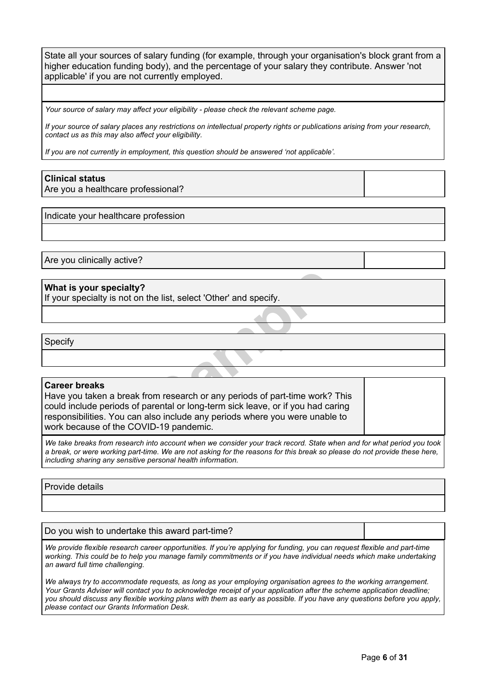State all your sources of salary funding (for example, through your organisation's block grant from a higher education funding body), and the percentage of your salary they contribute. Answer 'not applicable' if you are not currently employed.

*Your source of salary may affect your eligibility - please check the relevant scheme page.*

If your source of salary places any restrictions on intellectual property rights or publications arising from your research, *contact us as this may also affect your eligibility.*

*If you are not currently in employment, this question should be answered 'not applicable'.*

#### **Clinical status**

Are you a healthcare professional?

Indicate your healthcare profession

Are you clinically active?

#### **What is your specialty?**

If your specialty is not on the list, select 'Other' and specify.

Specify

#### **Career breaks**

the list, select 'Other' and specify.<br>
om research or any periods of part-time work?<br>
arental or long-term sick leave, or if you had ca<br>
Iso include any periods where you were unable Have you taken a break from research or any periods of part-time work? This could include periods of parental or long-term sick leave, or if you had caring responsibilities. You can also include any periods where you were unable to work because of the COVID-19 pandemic.

We take breaks from research into account when we consider your track record. State when and for what period you took a break, or were working part-time. We are not asking for the reasons for this break so please do not provide these here, *including sharing any sensitive personal health information.*

#### Provide details

Do you wish to undertake this award part-time?

We provide flexible research career opportunities. If you're applying for funding, you can request flexible and part-time working. This could be to help you manage family commitments or if you have individual needs which make undertaking *an award full time challenging.*

We always try to accommodate requests, as long as your employing organisation agrees to the working arrangement. Your Grants Adviser will contact you to acknowledge receipt of your application after the scheme application deadline; you should discuss any flexible working plans with them as early as possible. If you have any questions before you apply, *please contact our Grants Information Desk.*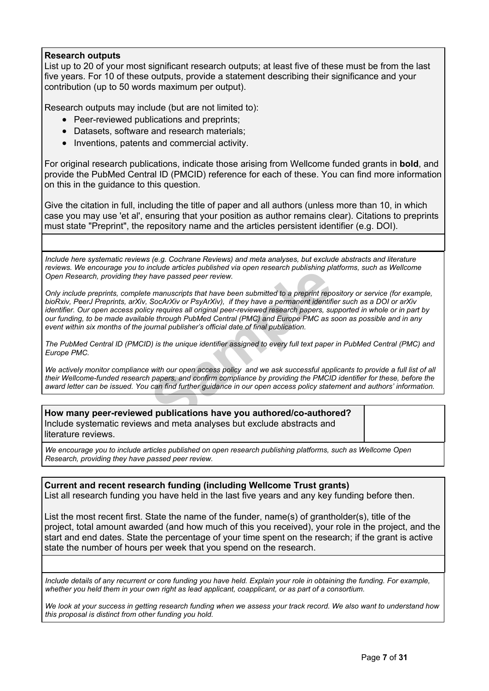## **Research outputs**

List up to 20 of your most significant research outputs; at least five of these must be from the last five years. For 10 of these outputs, provide a statement describing their significance and your contribution (up to 50 words maximum per output).

Research outputs may include (but are not limited to):

- Peer-reviewed publications and preprints;
- Datasets, software and research materials;
- Inventions, patents and commercial activity.

For original research publications, indicate those arising from Wellcome funded grants in **bold**, and provide the PubMed Central ID (PMCID) reference for each of these. You can find more information on this in the guidance to this question.

Give the citation in full, including the title of paper and all authors (unless more than 10, in which case you may use 'et al', ensuring that your position as author remains clear). Citations to preprints must state "Preprint", the repository name and the articles persistent identifier (e.g. DOI).

*Include here systematic reviews (e.g. Cochrane Reviews) and meta analyses, but exclude abstracts and literature reviews. We encourage you to include articles published via open research publishing platforms, such as Wellcome Open Research, providing they have passed peer review.*

Final definition of the probability of the same of the same parameters and prefiles that have been submitted to a preprint reposed XXIV or PsyArXiv), if they have a permanent identificy requires all original peer-reviewed Only include preprints, complete manuscripts that have been submitted to a preprint repository or service (for example, bioRxiv, PeerJ Preprints, arXiv, SocArXiv or PsyArXiv), if they have a permanent identifier such as a DOI or arXiv identifier. Our open access policy requires all original peer-reviewed research papers, supported in whole or in part by our funding, to be made available through PubMed Central (PMC) and Europe PMC as soon as possible and in any *event within six months of the journal publisher's official date of final publication.*

The PubMed Central ID (PMCID) is the unique identifier assigned to every full text paper in PubMed Central (PMC) and *Europe PMC.*

We actively monitor compliance with our open access policy and we ask successful applicants to provide a full list of all their Wellcome-funded research papers, and confirm compliance by providing the PMCID identifier for these, before the award letter can be issued. You can find further guidance in our open access policy statement and authors' information.

| How many peer-reviewed publications have you authored/co-authored?     |  |
|------------------------------------------------------------------------|--|
| Include systematic reviews and meta analyses but exclude abstracts and |  |
| literature reviews.                                                    |  |
|                                                                        |  |

*We encourage you to include articles published on open research publishing platforms, such as Wellcome Open Research, providing they have passed peer review.*

**Current and recent research funding (including Wellcome Trust grants)** List all research funding you have held in the last five years and any key funding before then.

List the most recent first. State the name of the funder, name(s) of grantholder(s), title of the project, total amount awarded (and how much of this you received), your role in the project, and the start and end dates. State the percentage of your time spent on the research; if the grant is active state the number of hours per week that you spend on the research.

Include details of any recurrent or core funding you have held. Explain your role in obtaining the funding. For example, whether you held them in your own right as lead applicant, coapplicant, or as part of a consortium.

We look at your success in getting research funding when we assess your track record. We also want to understand how *this proposal is distinct from other funding you hold.*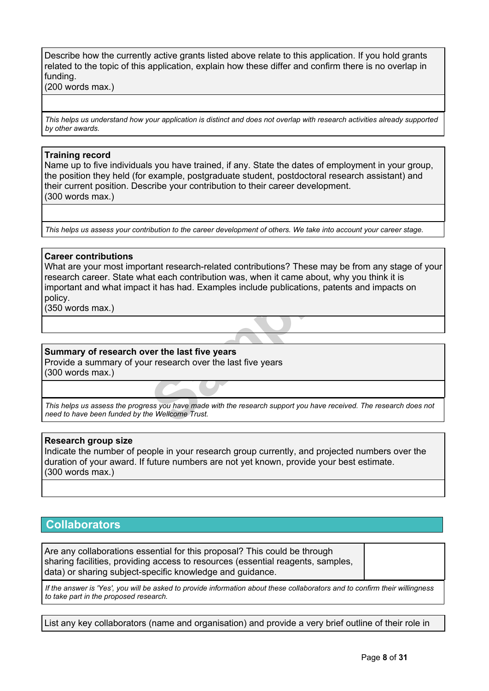Describe how the currently active grants listed above relate to this application. If you hold grants related to the topic of this application, explain how these differ and confirm there is no overlap in funding.

(200 words max.)

This helps us understand how your application is distinct and does not overlap with research activities already supported *by other awards.*

#### **Training record**

Name up to five individuals you have trained, if any. State the dates of employment in your group, the position they held (for example, postgraduate student, postdoctoral research assistant) and their current position. Describe your contribution to their career development. (300 words max.)

This helps us assess your contribution to the career development of others. We take into account your career stage.

#### **Career contributions**

at each contribution was, when it came about, it it has had. Examples include publications, pat<br> **Samples** include publications, pat<br> **Samples** include publications, pat<br> **Samples** include publications, pat<br> **Samples** incl What are your most important research-related contributions? These may be from any stage of your research career. State what each contribution was, when it came about, why you think it is important and what impact it has had. Examples include publications, patents and impacts on policy.

(350 words max.)

### **Summary of research over the last five years**

Provide a summary of your research over the last five years (300 words max.)

This helps us assess the progress you have made with the research support you have received. The research does not *need to have been funded by the Wellcome Trust.*

### **Research group size**

Indicate the number of people in your research group currently, and projected numbers over the duration of your award. If future numbers are not yet known, provide your best estimate. (300 words max.)

# **Collaborators**

Are any collaborations essential for this proposal? This could be through sharing facilities, providing access to resources (essential reagents, samples, data) or sharing subject-specific knowledge and guidance.

If the answer is 'Yes', you will be asked to provide information about these collaborators and to confirm their willingness *to take part in the proposed research.*

List any key collaborators (name and organisation) and provide a very brief outline of their role in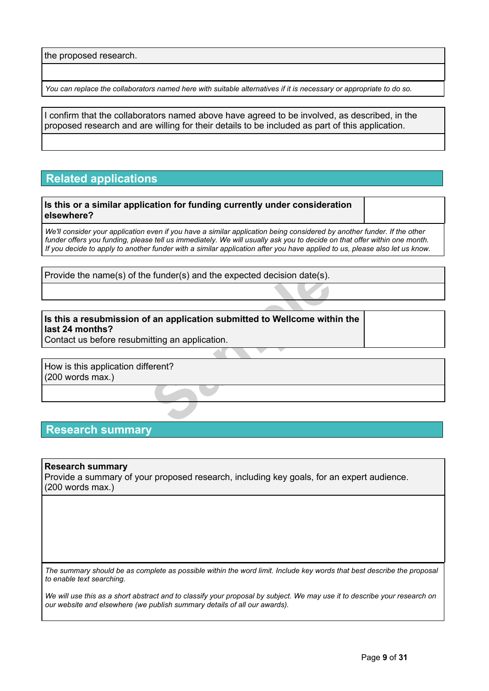the proposed research.

You can replace the collaborators named here with suitable alternatives if it is necessary or appropriate to do so.

I confirm that the collaborators named above have agreed to be involved, as described, in the proposed research and are willing for their details to be included as part of this application.

# **Related applications**

**Is this or a similar application for funding currently under consideration elsewhere?**

We'll consider vour application even if you have a similar application being considered by another funder. If the other funder offers you funding, please tell us immediately. We will usually ask you to decide on that offer within one month. If you decide to apply to another funder with a similar application after you have applied to us, please also let us know.

Provide the name(s) of the funder(s) and the expected decision date(s).

# Example is tunder(s) and the expected decision date(s).<br> **Sample is a subset of an application submitted to Wellcome with litting an application.**<br>
Letter the section of the section of the section of the section of the sec **Is this a resubmission of an application submitted to Wellcome within the last 24 months?**

Contact us before resubmitting an application.

How is this application different? (200 words max.)

## **Research summary**

#### **Research summary**

Provide a summary of your proposed research, including key goals, for an expert audience. (200 words max.)

The summary should be as complete as possible within the word limit. Include key words that best describe the proposal *to enable text searching.*

We will use this as a short abstract and to classify your proposal by subject. We may use it to describe your research on *our website and elsewhere (we publish summary details of all our awards).*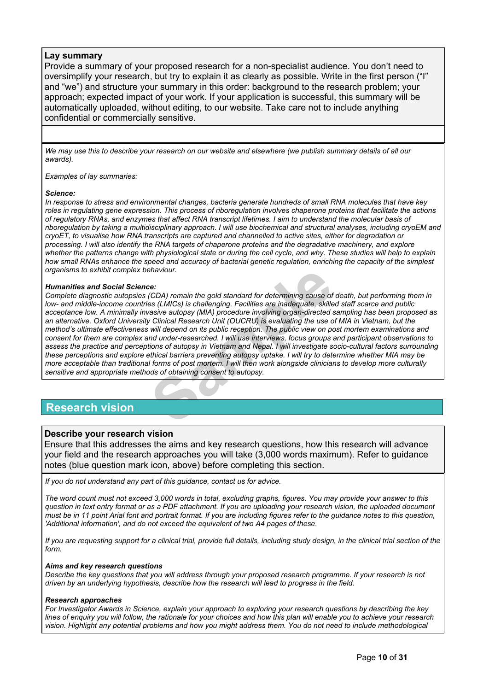#### **Lay summary**

Provide a summary of your proposed research for a non-specialist audience. You don't need to oversimplify your research, but try to explain it as clearly as possible. Write in the first person ("I" and "we") and structure your summary in this order: background to the research problem; your approach; expected impact of your work. If your application is successful, this summary will be automatically uploaded, without editing, to our website. Take care not to include anything confidential or commercially sensitive.

We may use this to describe your research on our website and elsewhere (we publish summary details of all our *awards).*

*Examples of lay summaries:*

#### *Science:*

In response to stress and environmental changes, bacteria generate hundreds of small RNA molecules that have key roles in regulating gene expression. This process of riboregulation involves chaperone proteins that facilitate the actions of requlatory RNAs, and enzymes that affect RNA transcript lifetimes. I aim to understand the molecular basis of riboregulation by taking a multidisciplinary approach. I will use biochemical and structural analyses, including cryoEM and cryoET, to visualise how RNA transcripts are captured and channelled to active sites, either for degradation or processing. I will also identify the RNA targets of chaperone proteins and the degradative machinery, and explore whether the patterns change with physiological state or during the cell cycle, and why. These studies will help to explain how small RNAs enhance the speed and accuracy of bacterial genetic regulation, enriching the capacity of the simplest *organisms to exhibit complex behaviour.*

#### *Humanities and Social Science:*

**Shaviour.**<br> **Shaviour.**<br> **Second Standard for determining cause of**<br> **Second Standard Standard for determining cause of**<br> **Second Standard Standard Standard Standard Standard Standard Standard Standard Standard Standard C** Complete diagnostic autopsies (CDA) remain the gold standard for determining cause of death, but performing them in *low- and middle-income countries (LMICs) is challenging. Facilities are inadequate, skilled staff scarce and public acceptance low. A minimally invasive autopsy (MIA) procedure involving organ-directed sampling has been proposed as* an alternative. Oxford University Clinical Research Unit (OUCRU) is evaluating the use of MIA in Vietnam, but the method's ultimate effectiveness will depend on its public reception. The public view on post mortem examinations and consent for them are complex and under-researched. I will use interviews, focus groups and participant observations to assess the practice and perceptions of autopsy in Vietnam and Nepal. I will investigate socio-cultural factors surrounding these perceptions and explore ethical barriers preventing autopsy uptake. I will try to determine whether MIA may be more acceptable than traditional forms of post mortem. I will then work alongside clinicians to develop more culturally *sensitive and appropriate methods of obtaining consent to autopsy.*

## **Research vision**

### **Describe your research vision**

Ensure that this addresses the aims and key research questions, how this research will advance your field and the research approaches you will take (3,000 words maximum). Refer to guidance notes (blue question mark icon, above) before completing this section.

*If you do not understand any part of this guidance, contact us for advice.*

The word count must not exceed 3,000 words in total, excluding graphs, figures. You may provide your answer to this question in text entry format or as a PDF attachment. If you are uploading your research vision, the uploaded document must be in 11 point Arial font and portrait format. If you are including figures refer to the guidance notes to this question, *'Additional information', and do not exceed the equivalent of two A4 pages of these.*

If you are requesting support for a clinical trial, provide full details, including study design, in the clinical trial section of the *form.*

#### *Aims and key research questions*

Describe the key questions that you will address through your proposed research programme. If your research is not *driven by an underlying hypothesis, describe how the research will lead to progress in the field.*

#### *Research approaches*

For Investigator Awards in Science, explain your approach to exploring your research questions by describing the key lines of enguiry you will follow, the rationale for your choices and how this plan will enable you to achieve your research vision. Highlight any potential problems and how you might address them. You do not need to include methodological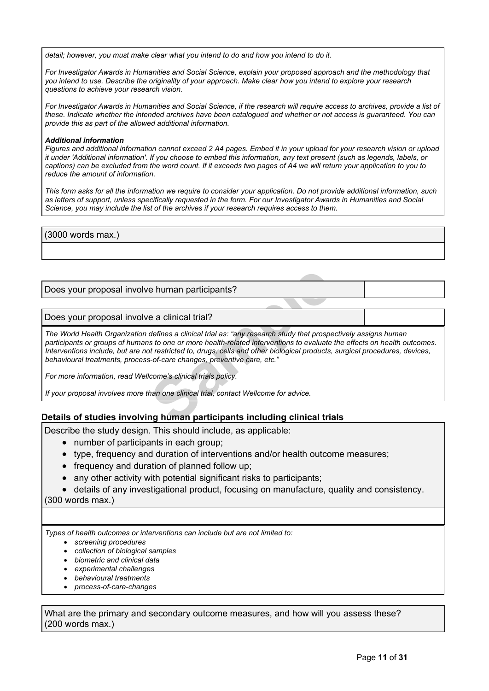*detail; however, you must make clear what you intend to do and how you intend to do it.*

For Investigator Awards in Humanities and Social Science, explain your proposed approach and the methodology that you intend to use. Describe the originality of your approach. Make clear how you intend to explore your research *questions to achieve your research vision.*

For Investigator Awards in Humanities and Social Science, if the research will require access to archives, provide a list of these. Indicate whether the intended archives have been catalogued and whether or not access is guaranteed. You can *provide this as part of the allowed additional information.*

#### *Additional information*

Figures and additional information cannot exceed 2 A4 pages. Embed it in your upload for your research vision or upload it under 'Additional information'. If you choose to embed this information, any text present (such as legends, labels, or captions) can be excluded from the word count. If it exceeds two pages of A4 we will return your application to you to *reduce the amount of information.*

This form asks for all the information we require to consider your application. Do not provide additional information, such as letters of support, unless specifically requested in the form. For our Investigator Awards in Humanities and Social *Science, you may include the list of the archives if your research requires access to them.*

(3000 words max.)

Does your proposal involve human participants?

Does your proposal involve a clinical trial?

**Example 14 Example 15 Algenturity of the Algentiser of the Algentiser and Chinan one or more health-related interventions to evaluate of restricted to, drugs, cells and other biological products, s-of-care changes, preven** *The World Health Organization defines a clinical trial as: "any research study that prospectively assigns human* participants or groups of humans to one or more health-related interventions to evaluate the effects on health outcomes. Interventions include, but are not restricted to, drugs, cells and other biological products, surgical procedures, devices, *behavioural treatments, process-of-care changes, preventive care, etc."*

*For more information, read Wellcome's clinical trials policy.*

*If your proposal involves more than one clinical trial, contact Wellcome for advice.*

### **Details of studies involving human participants including clinical trials**

Describe the study design. This should include, as applicable:

- number of participants in each group;
- type, frequency and duration of interventions and/or health outcome measures;
- frequency and duration of planned follow up;
- any other activity with potential significant risks to participants;
- details of any investigational product, focusing on manufacture, quality and consistency.

(300 words max.)

*Types of health outcomes or interventions can include but are not limited to:*

- *screening procedures*
- *collection of biological samples*
- *biometric and clinical data*
- *experimental challenges*
- *behavioural treatments*
- *process-of-care-changes*

What are the primary and secondary outcome measures, and how will you assess these? (200 words max.)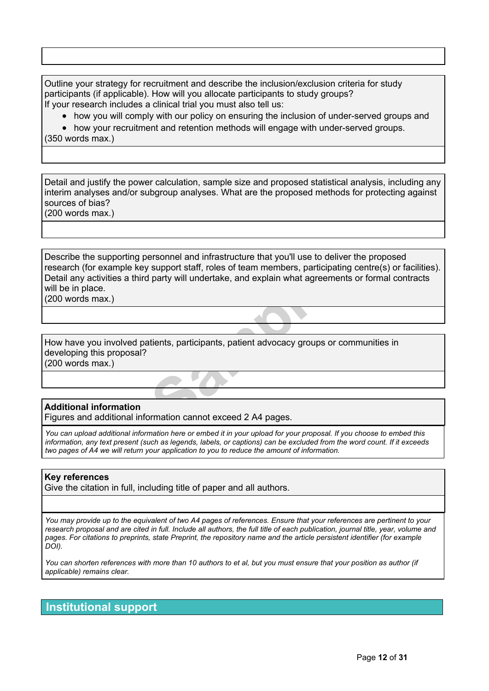Outline your strategy for recruitment and describe the inclusion/exclusion criteria for study participants (if applicable). How will you allocate participants to study groups? If your research includes a [clinical](https://wellcome.org/grant-funding/guidance/clinical-trials-policy) trial you must also tell us:

• how you will comply with our policy on ensuring the inclusion of under-served groups and

• how your recruitment and retention methods will engage with under-served groups.

(350 words max.)

Detail and justify the power calculation, sample size and proposed statistical analysis, including any interim analyses and/or subgroup analyses. What are the proposed methods for protecting against sources of bias?

(200 words max.)

support stan, rotes of team members, participated party will undertake, and explain what agreem<br>tients, participants, patient advocacy groups of<br>members of the state of the standard control of the standard control of the s Describe the supporting personnel and infrastructure that you'll use to deliver the proposed research (for example key support staff, roles of team members, participating centre(s) or facilities). Detail any activities a third party will undertake, and explain what agreements or formal contracts will be in place.

(200 words max.)

How have you involved patients, participants, patient advocacy groups or communities in developing this proposal? (200 words max.)

## **Additional information**

Figures and additional information cannot exceed 2 A4 pages.

You can upload additional information here or embed it in your upload for your proposal. If you choose to embed this information, any text present (such as legends, labels, or captions) can be excluded from the word count. If it exceeds *two pages of A4 we will return your application to you to reduce the amount of information.*

### **Key references**

Give the citation in full, including title of paper and all authors.

You may provide up to the equivalent of two A4 pages of references. Ensure that your references are pertinent to your research proposal and are cited in full. Include all authors, the full title of each publication, journal title, year, volume and pages. For citations to preprints, state Preprint, the repository name and the article persistent identifier (for example *DOI).*

You can shorten references with more than 10 authors to et al, but you must ensure that your position as author (if *applicable) remains clear.*

# **Institutional support**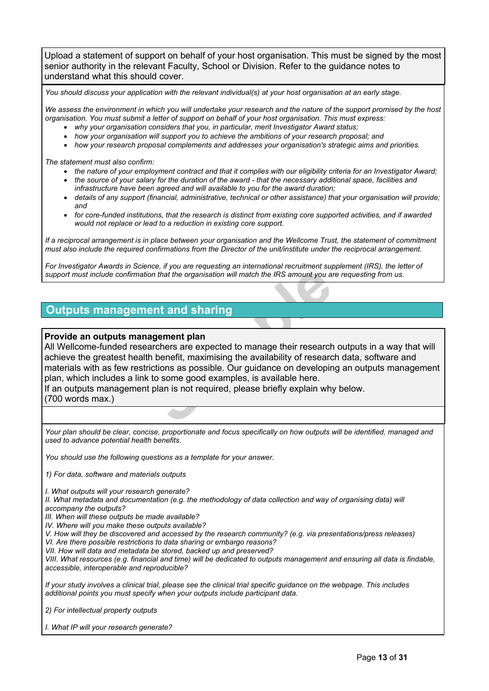Upload a statement of support on behalf of your host organisation. This must be signed by the most senior authority in the relevant Faculty, School or Division. Refer to the guidance notes to understand what this should cover.

You should discuss your application with the relevant individual(s) at your host organisation at an early stage.

We assess the environment in which you will undertake your research and the nature of the support promised by the host *organisation. You must submit a letter of support on behalf of your host organisation. This must express:*

- *why your organisation considers that you, in particular, merit Investigator Award status;*
- *how your organisation will support you to achieve the ambitions of your research proposal; and*
- *how your research proposal complements and addresses your organisation's strategic aims and priorities.*

*The statement must also confirm:*

- the nature of your employment contract and that it complies with our eligibility criteria for an Investigator Award;
- the source of your salary for the duration of the award that the necessary additional space, facilities and *infrastructure have been agreed and will available to you for the award duration;*
- *details of any support (financial, administrative, technical or other assistance) that your organisation will provide; and*
- for core-funded institutions, that the research is distinct from existing core supported activities, and if awarded *would not replace or lead to a reduction in existing core support.*

If a reciprocal arrangement is in place between your organisation and the Wellcome Trust, the statement of commitment must also include the required confirmations from the Director of the unit/institute under the reciprocal arrangement.

For Investigator Awards in Science, if you are requesting an international recruitment supplement (IRS), the letter of support must include confirmation that the organisation will match the IRS amount you are requesting from us.

# **Outputs management and sharing**

## **Provide an outputs management plan**

From that the organisation will match the IRS amount you all<br> **Sample 18 amount you and Sharing**<br> **Sample 18 amount you and Sharing**<br> **Sample 18 amount you and Sharing**<br> **Samples** are expected to manage their research<br>
the All Wellcome-funded researchers are expected to manage their research outputs in a way that will achieve the greatest health benefit, maximising the availability of research data, software and materials with as few restrictions as possible. Our guidance on developing an outputs management plan, which includes a link to some good examples, is available here.

If an outputs management plan is not required, please briefly explain why below.

(700 words max.)

Your plan should be clear, concise, proportionate and focus specifically on how outputs will be identified, managed and *used to advance potential health benefits.*

*You should use the following questions as a template for your answer.*

*1) For data, software and materials outputs*

*I. What outputs will your research generate?*

II. What metadata and documentation (e.g. the methodology of data collection and way of organising data) will *accompany the outputs?*

*III. When will these outputs be made available?*

*IV. Where will you make these outputs available?*

*V. How will they be discovered and accessed by the research community? (e.g. via presentations/press releases) VI. Are there possible restrictions to data sharing or embargo reasons?*

*VII. How will data and metadata be stored, backed up and preserved?*

VIII. What resources (e.g. financial and time) will be dedicated to outputs management and ensuring all data is findable, *accessible, interoperable and reproducible?*

If your study involves a clinical trial, please see the clinical trial specific guidance on the webpage. This includes *additional points you must specify when your outputs include participant data.*

*2) For intellectual property outputs*

*I. What IP will your research generate?*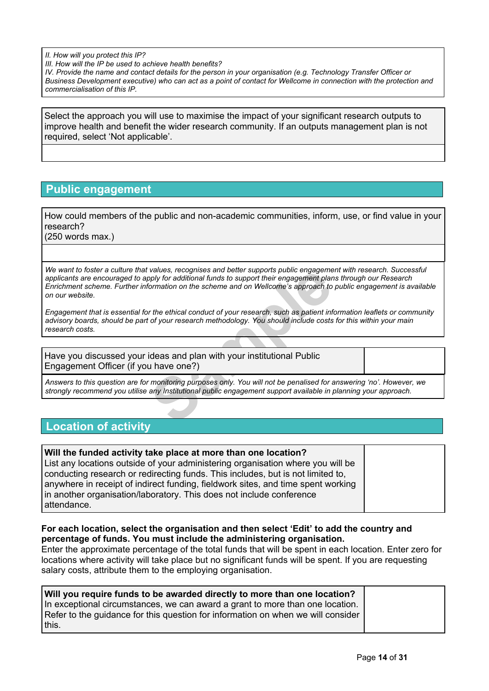*II. How will you protect this IP?*

*III. How will the IP be used to achieve health benefits?*

IV. Provide the name and contact details for the person in your organisation (e.g. Technology Transfer Officer or Business Development executive) who can act as a point of contact for Wellcome in connection with the protection and *commercialisation of this IP.*

Select the approach you will use to maximise the impact of your significant research outputs to improve health and benefit the wider research community. If an outputs management plan is not required, select 'Not applicable'.

# **Public engagement**

How could members of the public and non-academic communities, inform, use, or find value in your research?

(250 words max.)

values, recognises and better supports public engagement<br>ply for additional funds to support their engagement plan<br>formation on the scheme and on Wellcome's approach to<br>r the ethical conduct of your research, such as patie We want to foster a culture that values, recognises and better supports public engagement with research. Successful *applicants are encouraged to apply for additional funds to support their engagement plans through our Research* Enrichment scheme. Further information on the scheme and on Wellcome's approach to public engagement is available *on our website.*

Engagement that is essential for the ethical conduct of your research, such as patient information leaflets or community advisory boards, should be part of your research methodology. You should include costs for this within your main *research costs.*

Have you discussed your ideas and plan with your institutional Public Engagement Officer (if you have one?)

Answers to this question are for monitoring purposes only. You will not be penalised for answering 'no'. However, we *strongly recommend you utilise any Institutional public engagement support available in planning your approach.*

# **Location of activity**

| Will the funded activity take place at more than one location?                   |  |
|----------------------------------------------------------------------------------|--|
| List any locations outside of your administering organisation where you will be  |  |
| conducting research or redirecting funds. This includes, but is not limited to,  |  |
| anywhere in receipt of indirect funding, fieldwork sites, and time spent working |  |
| in another organisation/laboratory. This does not include conference             |  |
| attendance.                                                                      |  |

## **For each location, select the organisation and then select 'Edit' to add the country and percentage of funds. You must include the administering organisation.**

Enter the approximate percentage of the total funds that will be spent in each location. Enter zero for locations where activity will take place but no significant funds will be spent. If you are requesting salary costs, attribute them to the employing organisation.

**Will you require funds to be awarded directly to more than one location?** In exceptional circumstances, we can award a grant to more than one location. Refer to the guidance for this question for information on when we will consider this.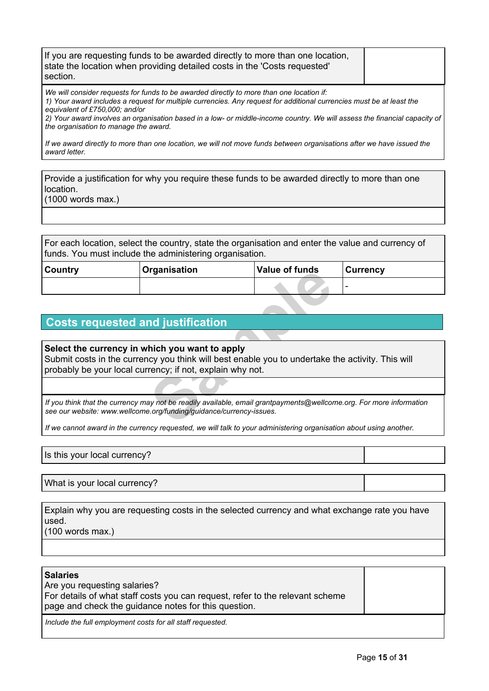| If you are requesting funds to be awarded directly to more than one location,<br>state the location when providing detailed costs in the 'Costs requested'<br>section.                                                                                                                                                                                                                                                   |  |
|--------------------------------------------------------------------------------------------------------------------------------------------------------------------------------------------------------------------------------------------------------------------------------------------------------------------------------------------------------------------------------------------------------------------------|--|
| We will consider requests for funds to be awarded directly to more than one location if:<br>1) Your award includes a request for multiple currencies. Any request for additional currencies must be at least the<br>equivalent of £750,000; and/or<br>2) Your award involves an organisation based in a low- or middle-income country. We will assess the financial capacity of<br>the organisation to manage the award. |  |

If we award directly to more than one location, we will not move funds between organisations after we have issued the *award letter.*

Provide a justification for why you require these funds to be awarded directly to more than one location.

(1000 words max.)

For each location, select the country, state the organisation and enter the value and currency of funds. You must include the administering organisation.

| Country | Organisation                                                                                                                                                                                                    | <b>Value of funds</b> | <b>Currency</b> |  |  |
|---------|-----------------------------------------------------------------------------------------------------------------------------------------------------------------------------------------------------------------|-----------------------|-----------------|--|--|
|         |                                                                                                                                                                                                                 |                       |                 |  |  |
|         |                                                                                                                                                                                                                 |                       |                 |  |  |
|         | <b>Costs requested and justification</b>                                                                                                                                                                        |                       |                 |  |  |
|         |                                                                                                                                                                                                                 |                       |                 |  |  |
|         | Select the currency in which you want to apply<br>Submit costs in the currency you think will best enable you to undertake the activity. This will<br>probably be your local currency; if not, explain why not. |                       |                 |  |  |
|         |                                                                                                                                                                                                                 |                       |                 |  |  |
|         | If you think that the currency may not be readily available, email grantpayments@wellcome.org. For more information<br>see our website: www.wellcome.org/funding/guidance/currency-issues.                      |                       |                 |  |  |

# **Costs requested and justification**

## **Select the currency in which you want to apply**

If we cannot award in the currency requested, we will talk to your administering organisation about using another.

Is this your local currency?

What is your local currency?

Explain why you are requesting costs in the selected currency and what exchange rate you have used. (100 words max.)

**Salaries**

Are you requesting salaries? For details of what staff costs you can request, refer to the relevant scheme page and check the guidance notes for this question.

*Include the full employment costs for all staff requested.*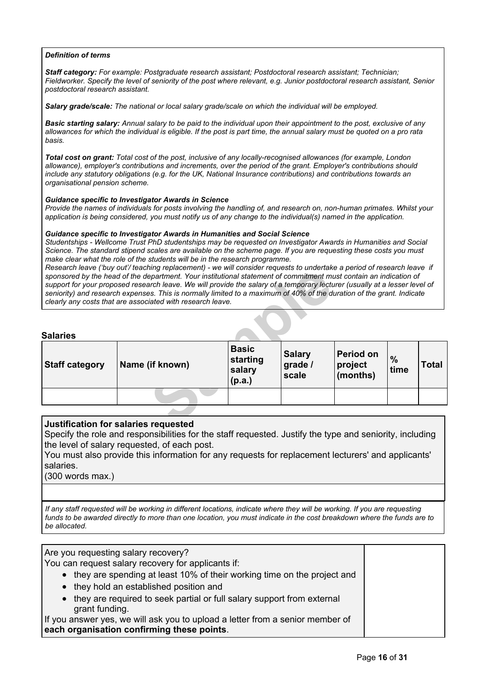#### *Definition of terms*

*Staff category: For example: Postgraduate research assistant; Postdoctoral research assistant; Technician;* Fieldworker. Specify the level of seniority of the post where relevant, e.g. Junior postdoctoral research assistant, Senior *postdoctoral research assistant.*

*Salary grade/scale: The national or local salary grade/scale on which the individual will be employed.*

Basic starting salary: Annual salary to be paid to the individual upon their appointment to the post, exclusive of any allowances for which the individual is eligible. If the post is part time, the annual salary must be quoted on a pro rata *basis.*

Total cost on grant: Total cost of the post, inclusive of any locally-recognised allowances (for example, London *allowance), employer's contributions and increments, over the period of the grant. Employer's contributions should include any statutory obligations (e.g. for the UK, National Insurance contributions) and contributions towards an organisational pension scheme.*

#### *Guidance specific to Investigator Awards in Science*

Provide the names of individuals for posts involving the handling of, and research on, non-human primates. Whilst your application is being considered, you must notify us of any change to the individual(s) named in the application.

#### *Guidance specific to Investigator Awards in Humanities and Social Science*

*Studentships - Wellcome Trust PhD studentships may be requested on Investigator Awards in Humanities and Social* Science. The standard stipend scales are available on the scheme page. If you are requesting these costs you must *make clear what the role of the students will be in the research programme.*

Research leave ('buy out'/ teaching replacement) - we will consider requests to undertake a period of research leave if sponsored by the head of the department. Your institutional statement of commitment must contain an indication of support for your proposed research leave. We will provide the salary of a temporary lecturer (usually at a lesser level of seniority) and research expenses. This is normally limited to a maximum of 40% of the duration of the grant. Indicate *clearly any costs that are associated with research leave.*

#### **Salaries**

|                       | ncscarch icavc Tbuy out/ teaching replacement) - we will consider requests to undertake a penou or research icavc<br>sponsored by the head of the department. Your institutional statement of commitment must contain an indication of<br>support for your proposed research leave. We will provide the salary of a temporary lecturer (usually at a lesser level of<br>seniority) and research expenses. This is normally limited to a maximum of 40% of the duration of the grant. Indicate<br>clearly any costs that are associated with research leave. |                                              |                                   |                                  |              |       |
|-----------------------|-------------------------------------------------------------------------------------------------------------------------------------------------------------------------------------------------------------------------------------------------------------------------------------------------------------------------------------------------------------------------------------------------------------------------------------------------------------------------------------------------------------------------------------------------------------|----------------------------------------------|-----------------------------------|----------------------------------|--------------|-------|
| <b>Salaries</b>       |                                                                                                                                                                                                                                                                                                                                                                                                                                                                                                                                                             |                                              |                                   |                                  |              |       |
| <b>Staff category</b> | Name (if known)                                                                                                                                                                                                                                                                                                                                                                                                                                                                                                                                             | <b>Basic</b><br>starting<br>salary<br>(p.a.) | <b>Salary</b><br>grade /<br>scale | Period on<br>project<br>(months) | $\%$<br>time | Total |
|                       |                                                                                                                                                                                                                                                                                                                                                                                                                                                                                                                                                             |                                              |                                   |                                  |              |       |
|                       |                                                                                                                                                                                                                                                                                                                                                                                                                                                                                                                                                             |                                              |                                   |                                  |              |       |
|                       | Iustification for salaries requested                                                                                                                                                                                                                                                                                                                                                                                                                                                                                                                        |                                              |                                   |                                  |              |       |

### **Justification for salaries requested**

Specify the role and responsibilities for the staff requested. Justify the type and seniority, including the level of salary requested, of each post.

You must also provide this information for any requests for replacement lecturers' and applicants' salaries.

(300 words max.)

If any staff requested will be working in different locations, indicate where they will be working. If you are requesting funds to be awarded directly to more than one location, you must indicate in the cost breakdown where the funds are to *be allocated.*

Are you requesting salary recovery?

You can request salary recovery for applicants if:

- they are spending at least 10% of their working time on the project and
- they hold an established position and
- they are required to seek partial or full salary support from external grant funding.

If you answer yes, we will ask you to upload a letter from a senior member of **each organisation confirming these points**.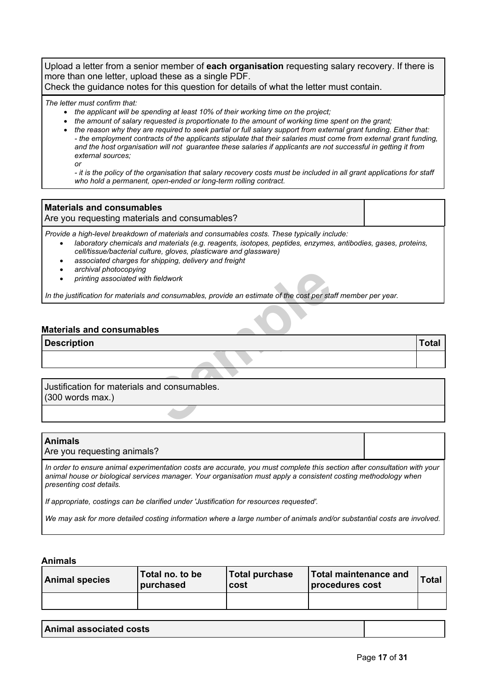Upload a letter from a senior member of **each organisation** requesting salary recovery. If there is more than one letter, upload these as a single PDF.

Check the guidance notes for this question for details of what the letter must contain.

*The letter must confirm that:*

- *the applicant will be spending at least 10% of their working time on the project;*
- *the amount of salary requested is proportionate to the amount of working time spent on the grant;*
- the reason why they are required to seek partial or full salary support from external grant funding. Either that: - the employment contracts of the applicants stipulate that their salaries must come from external grant funding. and the host organisation will not guarantee these salaries if applicants are not successful in getting it from *external sources;*

*or*

- it is the policy of the organisation that salary recovery costs must be included in all grant applications for staff *who hold a permanent, open-ended or long-term rolling contract.*

## **Materials and consumables**

Are you requesting materials and consumables?

*Provide a high-level breakdown of materials and consumables costs. These typically include:*

- *laboratory chemicals and materials (e.g. reagents, isotopes, peptides, enzymes, antibodies, gases, proteins, cell/tissue/bacterial culture, gloves, plasticware and glassware)*
- *associated charges for shipping, delivery and freight*
- *archival photocopying*
- *printing associated with fieldwork*

**Solutionary American Standard Consumables, provide an estimate of the cost per state<br>
<b>SAMPLE SES SES STANDARD STANDARD STANDARD STANDARD STANDARD STANDARD STANDARD STANDARD STANDARD STANDARD STANDARD STANDARD STANDARD ST** In the justification for materials and consumables, provide an estimate of the cost per staff member per year.

## **Materials and consumables**

**Description Total**

Justification for materials and consumables. (300 words max.)

| <b>Animals</b><br>Are you requesting animals?                                                                                                                                                                                                                              |  |
|----------------------------------------------------------------------------------------------------------------------------------------------------------------------------------------------------------------------------------------------------------------------------|--|
| In order to ensure animal experimentation costs are accurate, you must complete this section after consultation with your<br>  animal house or biological services manager. Your organisation must apply a consistent costing methodology when<br>presenting cost details. |  |
| If appropriate, costings can be clarified under 'Justification for resources requested'.                                                                                                                                                                                   |  |

We may ask for more detailed costing information where a large number of animals and/or substantial costs are involved.

### **Animals**

| <b>Animal species</b> | Total no. to be<br>purchased | <b>Total purchase</b><br>cost | Total maintenance and<br>procedures cost | <b>Total</b> |
|-----------------------|------------------------------|-------------------------------|------------------------------------------|--------------|
|                       |                              |                               |                                          |              |

| Animal associated costs |
|-------------------------|
|                         |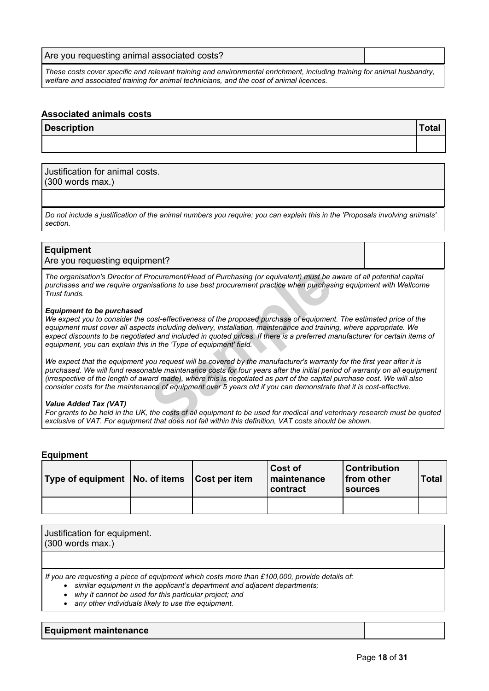| Are you requesting animal associated costs?                                                                             |  |
|-------------------------------------------------------------------------------------------------------------------------|--|
| These costs cover specific and relevant training and environmental enrichment, including training for animal husbandry, |  |

*welfare and associated training for animal technicians, and the cost of animal licences.*

#### **Associated animals costs**

| <b>Description</b> | ™otal |
|--------------------|-------|
|                    |       |

Justification for animal costs. (300 words max.)

Do not include a justification of the animal numbers you require; you can explain this in the 'Proposals involving animals' *section.*

#### **Equipment**

Are you requesting equipment?

The organisation's Director of Procurement/Head of Purchasing (or equivalent) must be aware of all potential capital *purchases and we require organisations to use best procurement practice when purchasing equipment with Wellcome Trust funds.*

#### *Equipment to be purchased*

rocurement/Head of Purchasing (or equivalent) must be inisations to use best procurement practice when purchase<br>cost-effectiveness of the proposed purchase of equipments including delivery, installation, maintenance and tr We expect you to consider the cost-effectiveness of the proposed purchase of equipment. The estimated price of the *equipment must cover all aspects including delivery, installation, maintenance and training, where appropriate. We* expect discounts to be negotiated and included in quoted prices. If there is a preferred manufacturer for certain items of *equipment, you can explain this in the 'Type of equipment' field.*

We expect that the equipment you request will be covered by the manufacturer's warranty for the first year after it is purchased. We will fund reasonable maintenance costs for four years after the initial period of warranty on all equipment (irrespective of the length of award made), where this is negotiated as part of the capital purchase cost. We will also consider costs for the maintenance of equipment over 5 years old if you can demonstrate that it is cost-effective.

#### *Value Added Tax (VAT)*

For grants to be held in the UK, the costs of all equipment to be used for medical and veterinary research must be quoted *exclusive of VAT. For equipment that does not fall within this definition, VAT costs should be shown.*

## **Equipment**

| Type of equipment   No. of items   Cost per item |  | Cost of<br>maintenance<br>contract | <b>Contribution</b><br>from other<br><b>Sources</b> | Total |
|--------------------------------------------------|--|------------------------------------|-----------------------------------------------------|-------|
|                                                  |  |                                    |                                                     |       |

| Justification for equipment.<br>$(300$ words max.)                                                                                                                                                                                                                                                                                 |
|------------------------------------------------------------------------------------------------------------------------------------------------------------------------------------------------------------------------------------------------------------------------------------------------------------------------------------|
|                                                                                                                                                                                                                                                                                                                                    |
| If you are requesting a piece of equipment which costs more than £100,000, provide details of:<br>similar equipment in the applicant's department and adjacent departments;<br>$\bullet$<br>why it cannot be used for this particular project; and<br>$\bullet$<br>any other individuals likely to use the equipment.<br>$\bullet$ |

#### **Equipment maintenance**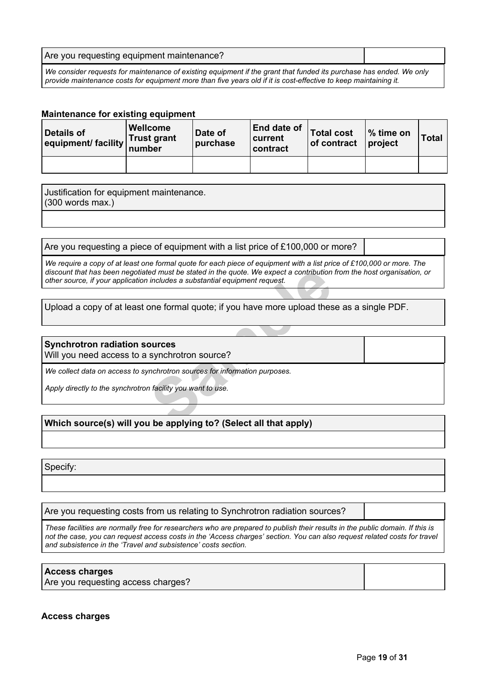| Are you requesting equipment maintenance?                                                                           |  |
|---------------------------------------------------------------------------------------------------------------------|--|
| We consider requests for maintenance of existing equipment if the grant that funded its purchase has ended. We only |  |

provide maintenance costs for equipment more than five years old if it is cost-effective to keep maintaining it.

## **Maintenance for existing equipment**

| Details of<br>equipment/ facility number | <b>Wellcome</b><br><b>Trust grant</b> | Date of<br>purchase | <b>End date of</b><br>∣current∶<br>contract | Total cost<br>of contract | ∣% time on<br>$ $ project | Total |
|------------------------------------------|---------------------------------------|---------------------|---------------------------------------------|---------------------------|---------------------------|-------|
|                                          |                                       |                     |                                             |                           |                           |       |

Justification for equipment maintenance. (300 words max.)

## Are you requesting a piece of equipment with a list price of £100,000 or more?

ed must be stated in the quote. We expect a contribution<br>
includes a substantial equipment request.<br>
Die formal quote; if you have more upload thes<br> **Sample Formal quote:** if you have more upload thes<br> **Sample Formal proce** We require a copy of at least one formal quote for each piece of equipment with a list price of £100,000 or more. The discount that has been negotiated must be stated in the quote. We expect a contribution from the host organisation, or *other source, if your application includes a substantial equipment request.*

## Upload a copy of at least one formal quote; if you have more upload these as a single PDF.

## **Synchrotron radiation sources**

Will you need access to a synchrotron source?

*We collect data on access to synchrotron sources for information purposes.*

*Apply directly to the synchrotron facility you want to use.*

## **Which source(s) will you be applying to? (Select all that apply)**

Specify:

Are you requesting costs from us relating to Synchrotron radiation sources?

These facilities are normally free for researchers who are prepared to publish their results in the public domain. If this is not the case, you can request access costs in the 'Access charges' section. You can also request related costs for travel *and subsistence in the 'Travel and subsistence' costs section.*

### **Access charges**

Are you requesting access charges?

### **Access charges**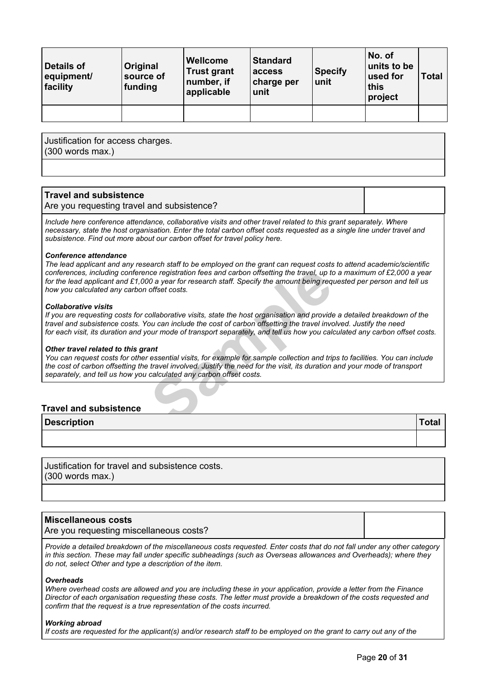| <b>Details of</b><br>equipment/<br>facility | Original<br>source of<br>funding | <b>Wellcome</b><br><b>Trust grant</b><br>number, if<br>applicable | <b>Standard</b><br>access<br>charge per<br>unit | <b>Specify</b><br>unit | No. of<br>units to be<br>used for<br>this<br>project | <b>Total</b> |
|---------------------------------------------|----------------------------------|-------------------------------------------------------------------|-------------------------------------------------|------------------------|------------------------------------------------------|--------------|
|                                             |                                  |                                                                   |                                                 |                        |                                                      |              |

Justification for access charges. (300 words max.)

## **Travel and subsistence**

#### Are you requesting travel and subsistence?

*Include here conference attendance, collaborative visits and other travel related to this grant separately. Where* necessary, state the host organisation. Enter the total carbon offset costs requested as a single line under travel and *subsistence. Find out more about our carbon offset for travel policy [here.](https://wellcome.org/funding/carbon-offset-policy-travel)*

#### *Conference attendance*

notice registration fees and carbon offsetting the travel, up to 0 a year for research staff. Specify the amount being requal offset costs.<br>
Samples of the amount of the most organisation and provide our can include the co The lead applicant and any research staff to be employed on the grant can request costs to attend academic/scientific conferences, including conference registration fees and carbon offsetting the travel, up to a maximum of £2,000 a year for the lead applicant and £1,000 a year for research staff. Specify the amount being requested per person and tell us *how you calculated any carbon offset costs.*

#### *Collaborative visits*

If you are requesting costs for collaborative visits, state the host organisation and provide a detailed breakdown of the travel and subsistence costs. You can include the cost of carbon offsetting the travel involved. Justify the need for each visit, its duration and your mode of transport separately, and tell us how you calculated any carbon offset costs.

#### *Other travel related to this grant*

You can request costs for other essential visits, for example for sample collection and trips to facilities. You can include the cost of carbon offsetting the travel involved. Justify the need for the visit, its duration and your mode of transport *separately, and tell us how you calculated any carbon offset costs.*

## **Travel and subsistence**

| <b>Description</b> |  |
|--------------------|--|
|                    |  |

Justification for travel and subsistence costs. (300 words max.)

## **Miscellaneous costs**

Are you requesting miscellaneous costs?

Provide a detailed breakdown of the miscellaneous costs requested. Enter costs that do not fall under any other category in this section. These may fall under specific subheadings (such as Overseas allowances and Overheads); where they *do not, select Other and type a description of the item.*

#### *Overheads*

Where overhead costs are allowed and you are including these in your application, provide a letter from the Finance Director of each organisation requesting these costs. The letter must provide a breakdown of the costs requested and *confirm that the request is a true representation of the costs incurred.*

#### *Working abroad*

If costs are requested for the applicant(s) and/or research staff to be employed on the grant to carry out any of the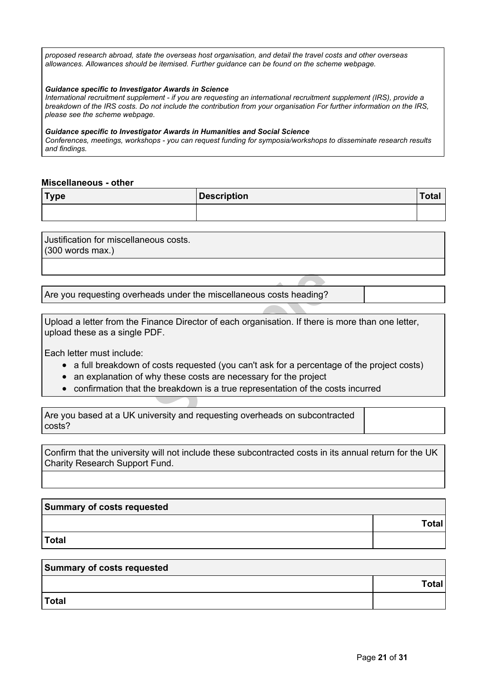*proposed research abroad, state the overseas host organisation, and detail the travel costs and other overseas allowances. Allowances should be itemised. Further guidance can be found on the scheme webpage.*

#### *Guidance specific to Investigator Awards in Science*

*International recruitment supplement - if you are requesting an international recruitment supplement (IRS), provide a* breakdown of the IRS costs. Do not include the contribution from your organisation For further information on the IRS. *please see the scheme webpage.*

#### *Guidance specific to Investigator Awards in Humanities and Social Science*

*Conferences, meetings, workshops - you can request funding for symposia/workshops to disseminate research results and findings.*

### **Miscellaneous - other**

| Type | Description | Tota. |
|------|-------------|-------|
|      |             |       |

Justification for miscellaneous costs. (300 words max.)

Are you requesting overheads under the miscellaneous costs heading?

**Example 3 and Set of the miscellaneous costs heading?**<br> **Sample 2 and Set of the set of the set of the set of the set of the set of the project**<br> **Sample 2 and Set of the set of the set of the set of the set of the costs** Upload a letter from the Finance Director of each organisation. If there is more than one letter, upload these as a single PDF.

Each letter must include:

- a full breakdown of costs requested (you can't ask for a percentage of the project costs)
- an explanation of why these costs are necessary for the project
- confirmation that the breakdown is a true representation of the costs incurred

Are you based at a UK university and requesting overheads on subcontracted costs?

Confirm that the university will not include these subcontracted costs in its annual return for the UK Charity Research Support Fund.

| Summary of costs requested |       |
|----------------------------|-------|
|                            | Total |
| Total                      |       |

| Summary of costs requested |       |  |
|----------------------------|-------|--|
|                            | Total |  |
| <b>Total</b>               |       |  |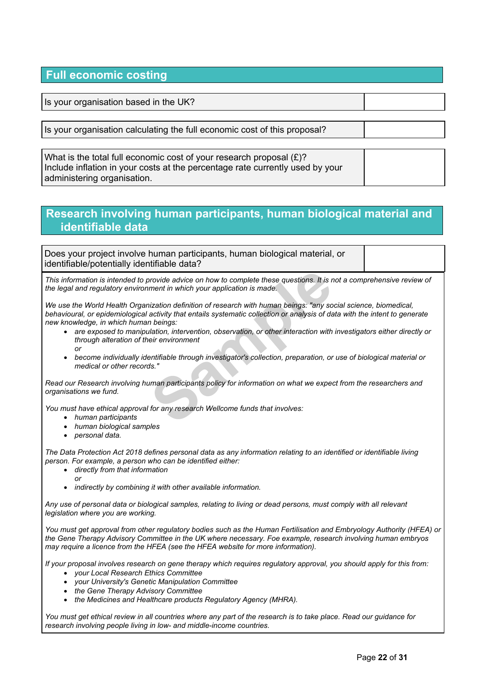# **Full economic costing**

Is your organisation based in the UK?

Is your organisation calculating the full economic cost of this proposal?

| What is the total full economic cost of your research proposal $(E)?$         |  |
|-------------------------------------------------------------------------------|--|
| Include inflation in your costs at the percentage rate currently used by your |  |
| administering organisation.                                                   |  |

# **Research involving human participants, human biological material and identifiable data**

Does your project involve human participants, human biological material, or identifiable/potentially identifiable data?

This information is intended to provide advice on how to complete these questions. It is not a comprehensive review of *the legal and regulatory environment in which your application is made.*

provide advice on how to complete these questions. It is ment in which your application is made.<br>
iization definition of research with human beings: "any so<br>
activity that entails systematic collection or analysis of da<br>
n *We use the World Health Organization definition of research with human beings: "any social science, biomedical,* behavioural, or epidemiological activity that entails systematic collection or analysis of data with the intent to generate *new knowledge, in which human beings:*

- *are exposed to manipulation, intervention, observation, or other interaction with investigators either directly or through alteration of their environment or*
- *become individually identifiable through investigator's collection, preparation, or use of biological material or medical or other records."*

Read our Research involving human participants policy for information on what we expect from the researchers and *organisations we fund.*

*You must have ethical approval for any research Wellcome funds that involves:*

- *human participants*
- *human biological samples*
- *personal data.*

The Data Protection Act 2018 defines personal data as any information relating to an identified or identifiable living *person. For example, a person who can be identified either:*

- *directly from that information*
	- *or*
- *indirectly by combining it with other available information.*

Any use of personal data or biological samples, relating to living or dead persons, must comply with all relevant *legislation where you are working.*

You must get approval from other regulatory bodies such as the Human Fertilisation and Embryology Authority (HFEA) or *the Gene Therapy Advisory Committee in the UK where necessary. Foe example, research involving human embryos may require a licence from the HFEA (see the HFEA [website](http://www.hfea.gov.uk/) for more information).*

If your proposal involves research on gene therapy which requires regulatory approval, you should apply for this from:

- *your Local Research Ethics Committee*
- *your University's Genetic Manipulation Committee*
- *the Gene Therapy Advisory Committee*
- *the Medicines and Healthcare products Regulatory Agency (MHRA).*

You must get ethical review in all countries where any part of the research is to take place. Read our [guidance](https://wellcome.org/grant-funding/guidance/research-involving-people-low-and-middle-income-countries) for *research involving people living in low- and [middle-income](https://wellcome.org/grant-funding/guidance/research-involving-people-low-and-middle-income-countries) countries.*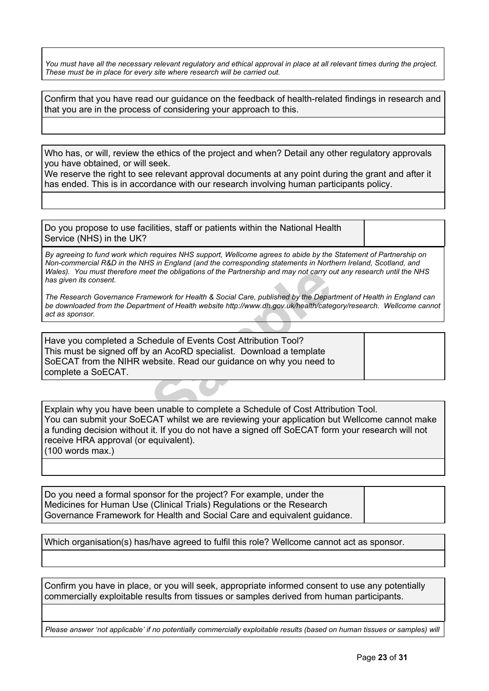You must have all the necessary relevant regulatory and ethical approval in place at all relevant times during the project. *These must be in place for every site where research will be carried out.*

Confirm that you have read our guidance on the feedback of [health-related](https://wellcome.org/grant-funding/guidance/research-involving-human-participants-policy) findings in research and that you are in the process of considering your approach to this.

Who has, or will, review the ethics of the project and when? Detail any other regulatory approvals you have obtained, or will seek.

We reserve the right to see relevant approval documents at any point during the grant and after it has ended. This is in accordance with our research involving human participants policy.

Do you propose to use facilities, staff or patients within the National Health Service (NHS) in the UK?

By agreeing to fund work which requires NHS support, Wellcome agrees to abide by the Statement of Partnership on *Non-commercial R&D in the NHS in England (and the corresponding statements in Northern Ireland, Scotland, and* Wales). You must therefore meet the obligations of the Partnership and may not carry out any research until the NHS *has given its consent.*

The Research Governance Framework for Health & Social Care, published by the Department of Health in England can *be downloaded from the Department of Health website [http://www.dh.gov.uk/health/category/research.](http://www.dh.gov.uk/health/category/research/) Wellcome cannot act as sponsor.*

ret the obligations of the Partnership and may not carry of<br>mework for Health & Social Care, published by the Department of Health website http://www.dh.gov.uk/health/cate<br>strength of Health website http://www.dh.gov.uk/he Have you completed a Schedule of Events Cost Attribution Tool? This must be signed off by an AcoRD specialist. Download a template SoECAT from the NIHR [website.](https://www.nihr.ac.uk/researchers/collaborations-services-and-support-for-your-research/run-your-study/excess-treatment-costs.htm) Read our guidance on why you need to complete a SoECAT.

Explain why you have been unable to complete a Schedule of Cost Attribution Tool. You can submit your SoECAT whilst we are reviewing your application but Wellcome cannot make a funding decision without it. If you do not have a signed off SoECAT form your research will not receive HRA approval (or equivalent). (100 words max.)

Do you need a formal sponsor for the project? For example, under the Medicines for Human Use (Clinical Trials) Regulations or the Research Governance Framework for Health and Social Care and equivalent guidance.

Which organisation(s) has/have agreed to fulfil this role? Wellcome cannot act as sponsor.

Confirm you have in place, or you will seek, appropriate informed consent to use any potentially commercially exploitable results from tissues or samples derived from human participants.

Please answer 'not applicable' if no potentially commercially exploitable results (based on human tissues or samples) will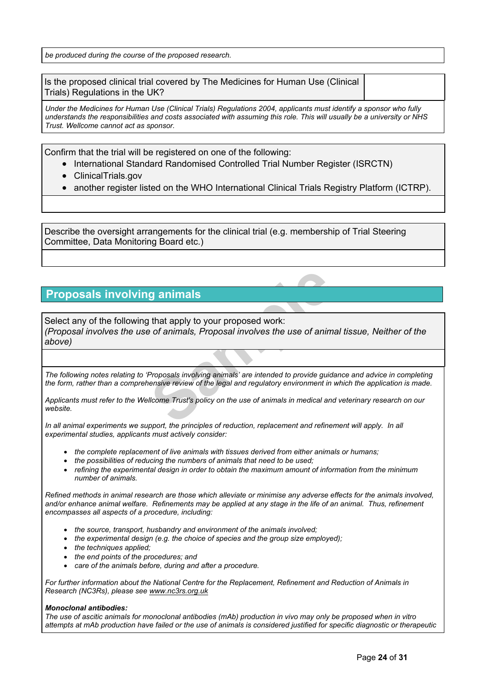*be produced during the course of the proposed research.*

Is the proposed clinical trial covered by The Medicines for Human Use (Clinical Trials) Regulations in the UK?

Under the Medicines for Human Use (Clinical Trials) Regulations 2004, applicants must identify a sponsor who fully understands the responsibilities and costs associated with assuming this role. This will usually be a university or NHS *Trust. Wellcome cannot act as sponsor.*

Confirm that the trial will be registered on one of the following:

- International Standard Randomised Controlled Trial Number Register (ISRCTN)
- ClinicalTrials.gov
- another register listed on the WHO International Clinical Trials Registry Platform (ICTRP).

Describe the oversight arrangements for the clinical trial (e.g. membership of Trial Steering Committee, Data Monitoring Board etc.)

# **Proposals involving animals**

**Sample 19 Separate School Separate School Separate School Separate School Separate School Separate School Separate School Separation School Separate School Separate School Separate School Separate School Separate School S** Select any of the following that apply to your proposed work: *(Proposal involves the use of animals, Proposal involves the use of animal tissue, Neither of the above)*

The following notes relating to 'Proposals involving animals' are intended to provide quidance and advice in completing the form, rather than a comprehensive review of the legal and regulatory environment in which the application is made.

Applicants must refer to the Wellcome Trust's policy on the use of animals in medical and veterinary research on our *website.*

In all animal experiments we support, the principles of reduction, replacement and refinement will apply. In all *experimental studies, applicants must actively consider:*

- *the complete replacement of live animals with tissues derived from either animals or humans;*
- *the possibilities of reducing the numbers of animals that need to be used;*
- *refining the experimental design in order to obtain the maximum amount of information from the minimum number of animals.*

Refined methods in animal research are those which alleviate or minimise any adverse effects for the animals involved, and/or enhance animal welfare. Refinements may be applied at any stage in the life of an animal. Thus, refinement *encompasses all aspects of a procedure, including:*

- *the source, transport, husbandry and environment of the animals involved;*
- *the experimental design (e.g. the choice of species and the group size employed);*
- *the techniques applied;*
- *the end points of the procedures; and*
- *care of the animals before, during and after a procedure.*

*For further information about the National Centre for the Replacement, Refinement and Reduction of Animals in Research (NC3Rs), please see [www.nc3rs.org.uk](http://www.nc3rs.org.uk/)*

#### *Monoclonal antibodies:*

The use of ascitic animals for monoclonal antibodies (mAb) production in vivo may only be proposed when in vitro attempts at mAb production have failed or the use of animals is considered justified for specific diagnostic or therapeutic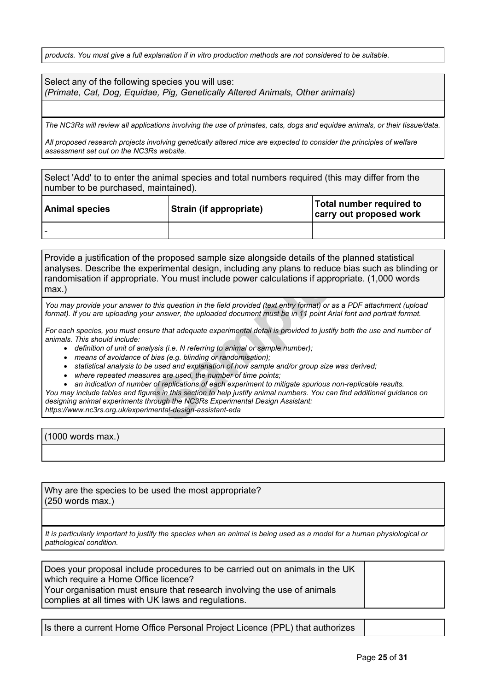products. You must give a full explanation if in vitro production methods are not considered to be suitable.

| Select any of the following species you will use:                             |  |
|-------------------------------------------------------------------------------|--|
| (Primate, Cat, Dog, Equidae, Pig, Genetically Altered Animals, Other animals) |  |

The NC3Rs will review all applications involving the use of primates, cats, dogs and equidae animals, or their tissue/data.

All proposed research projects involving genetically altered mice are expected to consider the principles of welfare *assessment set out on the NC3Rs [website](https://www.nc3rs.org.uk/generation-and-breeding-genetically-altered-mice).*

Select 'Add' to to enter the animal species and total numbers required (this may differ from the number to be purchased, maintained).

| <b>Animal species</b> | <b>Strain (if appropriate)</b> | Total number required to<br>carry out proposed work |
|-----------------------|--------------------------------|-----------------------------------------------------|
|                       |                                |                                                     |

permierital design, including any plans to reduct<br>te. You must include power calculations if appro<br>*So this question in the field provided (text entry format) or a*<br>*Suran answer, the uploaded document must be in 11 point* Provide a justification of the proposed sample size alongside details of the planned statistical analyses. Describe the experimental design, including any plans to reduce bias such as blinding or randomisation if appropriate. You must include power calculations if appropriate. (1,000 words max.)

You may provide your answer to this question in the field provided (text entry format) or as a PDF attachment (upload format). If you are uploading your answer, the uploaded document must be in 11 point Arial font and portrait format.

For each species, you must ensure that adequate experimental detail is provided to justify both the use and number of *animals. This should include:*

- *definition of unit of analysis (i.e. N referring to animal or sample number);*
- *means of avoidance of bias (e.g. blinding or randomisation);*
- *statistical analysis to be used and explanation of how sample and/or group size was derived;*
- *where repeated measures are used, the number of time points;*
- *an indication of number of replications of each experiment to mitigate spurious non-replicable results.*

You may include tables and figures in this section to help justify animal numbers. You can find additional guidance on *designing animal experiments through the NC3Rs Experimental Design Assistant: [https://www.nc3rs.org.uk/experimental-design-assistant-eda](http://www.nc3rs.org.uk/experimental-design-assistant-eda)*

(1000 words max.)

Why are the species to be used the most appropriate? (250 words max.)

It is particularly important to justify the species when an animal is being used as a model for a human physiological or *pathological condition.*

Does your proposal include procedures to be carried out on animals in the UK which require a Home Office licence? Your organisation must ensure that research involving the use of animals complies at all times with UK laws and regulations.

Is there a current Home Office Personal Project Licence (PPL) that authorizes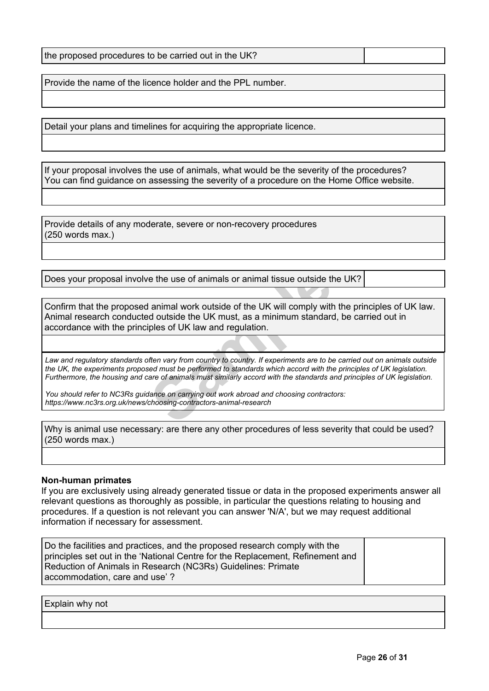Provide the name of the licence holder and the PPL number.

Detail your plans and timelines for acquiring the appropriate licence.

If your proposal involves the use of animals, what would be the severity of the procedures? You can find guidance on assessing the severity of a procedure on the Home Office [website.](http://www.homeoffice.gov.uk/science-research/animal-research/)

Provide details of any moderate, severe or non-recovery procedures (250 words max.)

Does your proposal involve the use of animals or animal tissue outside the UK?

e the use of animals or animal tissue outside the unimal work outside of the UK will comply with<br>d outside the UK must, as a minimum standard<br>ples of UK law and regulation.<br>fee wary from country to country. If experiments Confirm that the proposed animal work outside of the UK will comply with the principles of UK law. Animal research conducted outside the UK must, as a minimum standard, be carried out in accordance with the principles of UK law and regulation.

Law and regulatory standards often vary from country to country. If experiments are to be carried out on animals outside the UK, the experiments proposed must be performed to standards which accord with the principles of UK legislation. Furthermore, the housing and care of animals must similarly accord with the standards and principles of UK legislation.

*You should refer to NC3Rs guidance on carrying out work abroad and choosing contractors: [https://www.nc3rs.org.uk/news/choosing-contractors-animal-research](http://www.nc3rs.org.uk/news/choosing-contractors-animal-research)*

Why is animal use necessary: are there any other procedures of less severity that could be used? (250 words max.)

### **Non-human primates**

If you are exclusively using already generated tissue or data in the proposed experiments answer all relevant questions as thoroughly as possible, in particular the questions relating to housing and procedures. If a question is not relevant you can answer 'N/A', but we may request additional information if necessary for assessment.

| Do the facilities and practices, and the proposed research comply with the<br>principles set out in the 'National Centre for the Replacement, Refinement and |  |
|--------------------------------------------------------------------------------------------------------------------------------------------------------------|--|
| Reduction of Animals in Research (NC3Rs) Guidelines: Primate<br>accommodation, care and use'?                                                                |  |
|                                                                                                                                                              |  |

Explain why not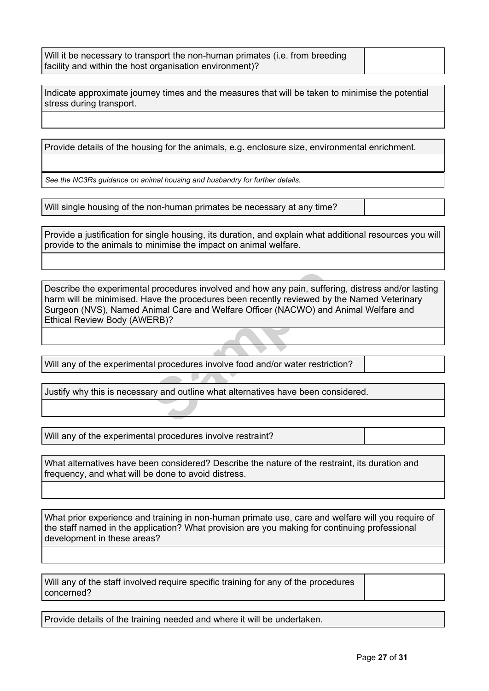Will it be necessary to transport the non-human primates (i.e. from breeding facility and within the host organisation environment)?

Indicate approximate journey times and the measures that will be taken to minimise the potential stress during transport.

Provide details of the housing for the animals, e.g. enclosure size, environmental enrichment.

*See the NC3Rs guidance on animal housing and [husbandry](http://www.nc3rs.org.uk/3rs-resources/housing-and-husbandry) for further details.*

Will single housing of the non-human primates be necessary at any time?

Provide a justification for single housing, its duration, and explain what additional resources you will provide to the animals to minimise the impact on animal welfare.

I procedures involved and how any pain, suffer<br>ave the procedures been recently reviewed by<br>nimal Care and Welfare Officer (NACWO) and<br>ERB)?<br>al procedures involve food and/or water restric<br>ary and outline what alternatives Describe the experimental procedures involved and how any pain, suffering, distress and/or lasting harm will be minimised. Have the procedures been recently reviewed by the Named Veterinary Surgeon (NVS), Named Animal Care and Welfare Officer (NACWO) and Animal Welfare and Ethical Review Body (AWERB)?

Will any of the experimental procedures involve food and/or water restriction?

Justify why this is necessary and outline what alternatives have been considered.

Will any of the experimental procedures involve restraint?

What alternatives have been considered? Describe the nature of the restraint, its duration and frequency, and what will be done to avoid distress.

What prior experience and training in non-human primate use, care and welfare will you require of the staff named in the application? What provision are you making for continuing professional development in these areas?

Will any of the staff involved require specific training for any of the procedures concerned?

Provide details of the training needed and where it will be undertaken.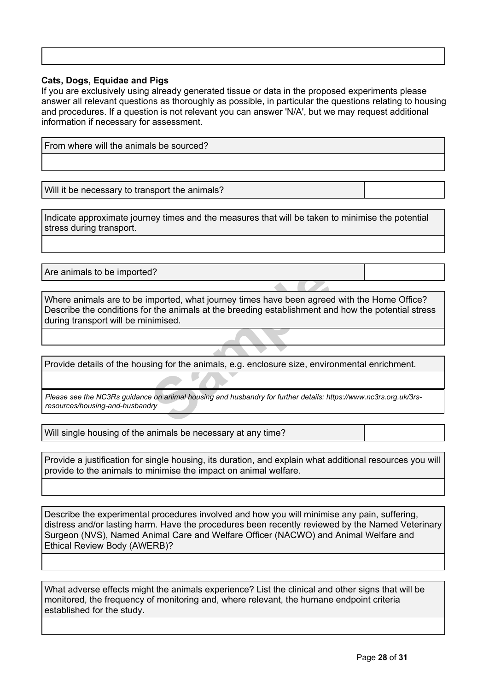## **Cats, Dogs, Equidae and Pigs**

If you are exclusively using already generated tissue or data in the proposed experiments please answer all relevant questions as thoroughly as possible, in particular the questions relating to housing and procedures. If a question is not relevant you can answer 'N/A', but we may request additional information if necessary for assessment.

| From where will the animals be sourced?        |  |
|------------------------------------------------|--|
|                                                |  |
|                                                |  |
| Will it be necessary to transport the animals? |  |
|                                                |  |

Indicate approximate journey times and the measures that will be taken to minimise the potential stress during transport.

Are animals to be imported?

d?<br> **Sample of the animals at the breeding establishment and animised.**<br> **Sample of the animals, e.g. enclosure size, environd and analytically and husbandry for further details: htt**<br> **Sample on animal housing and husband** Where animals are to be imported, what journey times have been agreed with the Home Office? Describe the conditions for the animals at the breeding establishment and how the potential stress during transport will be minimised.

Provide details of the housing for the animals, e.g. enclosure size, environmental enrichment.

*Please see the NC3Rs guidance on animal housing and husbandry for further details: [https://www.nc3rs.org.uk/3rs](http://www.nc3rs.org.uk/3rs-resources/housing-and-husbandry)[resources/housing-and-husbandry](http://www.nc3rs.org.uk/3rs-resources/housing-and-husbandry)*

Will single housing of the animals be necessary at any time?

Provide a justification for single housing, its duration, and explain what additional resources you will provide to the animals to minimise the impact on animal welfare.

Describe the experimental procedures involved and how you will minimise any pain, suffering, distress and/or lasting harm. Have the procedures been recently reviewed by the Named Veterinary Surgeon (NVS), Named Animal Care and Welfare Officer (NACWO) and Animal Welfare and Ethical Review Body (AWERB)?

What adverse effects might the animals experience? List the clinical and other signs that will be monitored, the frequency of monitoring and, where relevant, the humane endpoint criteria established for the study.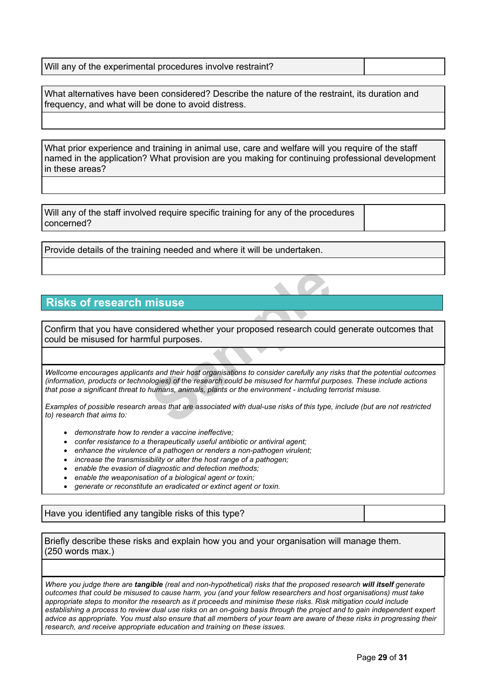| Will any of the experimental procedures involve restraint? |  |
|------------------------------------------------------------|--|
|------------------------------------------------------------|--|

What alternatives have been considered? Describe the nature of the restraint, its duration and frequency, and what will be done to avoid distress.

What prior experience and training in animal use, care and welfare will you require of the staff named in the application? What provision are you making for continuing professional development in these areas?

Will any of the staff involved require specific training for any of the procedures concerned?

Provide details of the training needed and where it will be undertaken.

# **Risks of research misuse**

Confirm that you have considered whether your proposed research could generate outcomes that could be misused for harmful purposes.

**Sample 19 All that is a model in the set of the set of the set of the set of the set of the set of the research could be misused for harmful purposes.<br>The same of the research could be misused for harmful purp<br>humans, ani** Wellcome encourages applicants and their host organisations to consider carefully any risks that the potential outcomes (information, products or technologies) of the research could be misused for harmful purposes. These include actions *that pose a significant threat to humans, animals, plants or the environment - including terrorist misuse.*

Examples of possible research areas that are associated with dual-use risks of this type, include (but are not restricted *to) research that aims to:*

- *demonstrate how to render a vaccine ineffective;*
- *confer resistance to a therapeutically useful antibiotic or antiviral agent;*
- *enhance the virulence of a pathogen or renders a non-pathogen virulent;*
- *increase the transmissibility or alter the host range of a pathogen;*
- *enable the evasion of diagnostic and detection methods;*
- *enable the weaponisation of a biological agent or toxin;*
- *generate or reconstitute an eradicated or extinct agent or toxin.*

Have you identified any tangible risks of this type?

Briefly describe these risks and explain how you and your organisation will manage them. (250 words max.)

Where you judge there are tangible (real and non-hypothetical) risks that the proposed research will itself generate outcomes that could be misused to cause harm, you (and your fellow researchers and host organisations) must take appropriate steps to monitor the research as it proceeds and minimise these risks. Risk mitigation could include establishing a process to review dual use risks on an on-going basis through the project and to gain independent expert advice as appropriate. You must also ensure that all members of your team are aware of these risks in progressing their *research, and receive appropriate education and training on these issues.*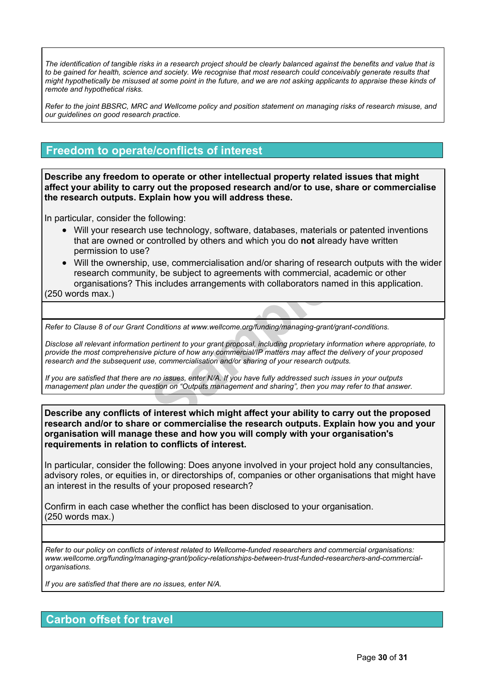The identification of tangible risks in a research project should be clearly balanced against the benefits and value that is to be gained for health, science and society. We recognise that most research could conceivably generate results that might hypothetically be misused at some point in the future, and we are not asking applicants to appraise these kinds of *remote and hypothetical risks.*

Refer to the joint BBSRC, MRC and Wellcome policy and position statement on [managing](https://wellcome.org/funding/managing-grant/managing-risks-research-misuse) risks of research misuse, and *our guidelines on good [research](https://wellcome.org/funding/managing-grant/policy-good-research-practice) practice.*

# **Freedom to operate/conflicts of interest**

**Describe any freedom to operate or other intellectual property related issues that might affect your ability to carry out the proposed research and/or to use, share or commercialise the research outputs. Explain how you will address these.**

In particular, consider the following:

- Will your research use technology, software, databases, materials or patented inventions that are owned or controlled by others and which you do **not** already have written permission to use?
- ty, be subject to agreements with commercial,<br>
s includes arrangements with collaborators nare<br>
Conditions at www.wellcome.org/funding/managing-grant<br>
pertinent to your grant proposal, including proprietary inter<br>
pertinen Will the ownership, use, commercialisation and/or sharing of research outputs with the wider research community, be subject to agreements with commercial, academic or other organisations? This includes arrangements with collaborators named in this application. (250 words max.)

*Refer to Clause 8 of our Grant Conditions at [www.wellcome.org/funding/managing-grant/grant-conditions.](http://www.wellcome.ac.uk/funding/managing-grant/grant-conditions)*

Disclose all relevant information pertinent to your grant proposal, including proprietary information where appropriate, to provide the most comprehensive picture of how any commercial/IP matters may affect the delivery of your proposed *research and the subsequent use, commercialisation and/or sharing of your research outputs.*

If you are satisfied that there are no issues, enter N/A. If you have fully addressed such issues in your outputs management plan under the question on "Outputs management and sharing", then you may refer to that answer.

**Describe any conflicts of interest which might affect your ability to carry out the proposed research and/or to share or commercialise the research outputs. Explain how you and your organisation will manage these and how you will comply with your organisation's requirements in relation to conflicts of interest.**

In particular, consider the following: Does anyone involved in your project hold any consultancies, advisory roles, or equities in, or directorships of, companies or other organisations that might have an interest in the results of your proposed research?

Confirm in each case whether the conflict has been disclosed to your organisation. (250 words max.)

*Refer to our policy on conflicts of interest related to Wellcome-funded researchers and commercial organisations: [www.wellcome.org/funding/managing-grant/policy-relationships-between-trust-funded-researchers-and-commercial](http://www.wellcome.ac.uk/funding/managing-grant/policy-relationships-between-trust-funded-researchers-and-commercial-organisations)[organisations](http://www.wellcome.ac.uk/funding/managing-grant/policy-relationships-between-trust-funded-researchers-and-commercial-organisations).*

*If you are satisfied that there are no issues, enter N/A.*

# **Carbon offset for travel**